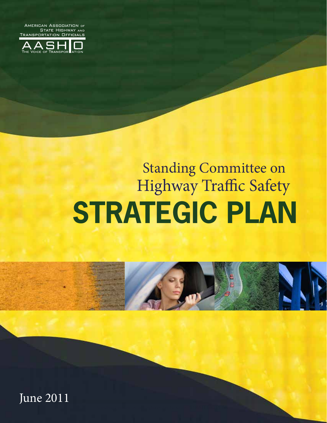AMERICAN ASSOCIATION OF STATE HIGHWAY AND **TRANSPORTATION OFFICIALS** 



# Standing Committee on Highway Traffic Safety **STRATEGIC PLAN**



Standing Committee on Highway Traffic Safety **Strategic Plan** i

June 2011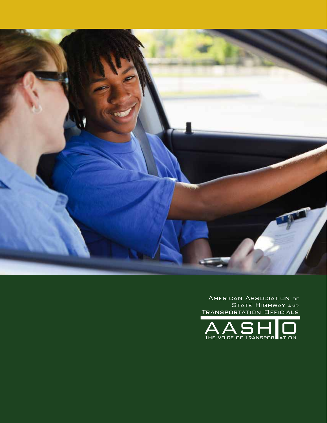

AMERICAN ASSOCIATION OF STATE HIGHWAY AND TRANSPORTATION OFFICIALS

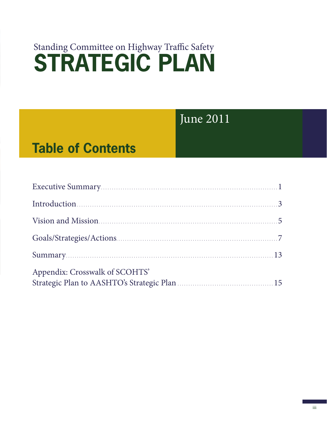### June 2011

### **Table of Contents**

| Appendix: Crosswalk of SCOHTS' |  |
|--------------------------------|--|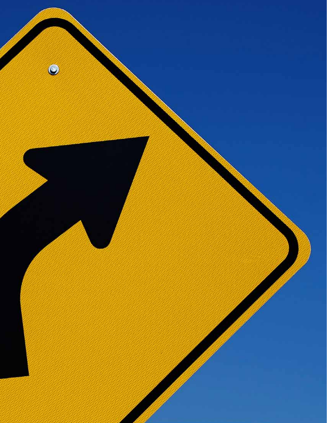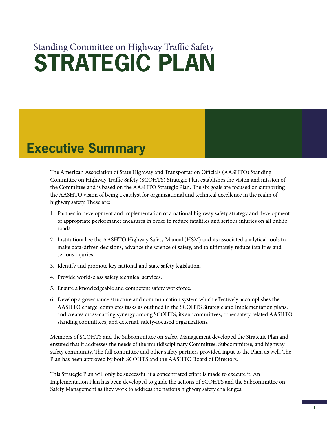### **Executive Summary**

The American Association of State Highway and Transportation Officials (AASHTO) Standing Committee on Highway Traffic Safety (SCOHTS) Strategic Plan establishes the vision and mission of the Committee and is based on the AASHTO Strategic Plan. The six goals are focused on supporting the AASHTO vision of being a catalyst for organizational and technical excellence in the realm of highway safety. These are:

- 1. Partner in development and implementation of a national highway safety strategy and development of appropriate performance measures in order to reduce fatalities and serious injuries on all public roads.
- 2. Institutionalize the AASHTO Highway Safety Manual (HSM) and its associated analytical tools to make data-driven decisions, advance the science of safety, and to ultimately reduce fatalities and serious injuries.
- 3. Identify and promote key national and state safety legislation.
- 4. Provide world-class safety technical services.
- 5. Ensure a knowledgeable and competent safety workforce.
- 6. Develop a governance structure and communication system which effectively accomplishes the AASHTO charge, completes tasks as outlined in the SCOHTS Strategic and Implementation plans, and creates cross-cutting synergy among SCOHTS, its subcommittees, other safety related AASHTO standing committees, and external, safety-focused organizations.

Members of SCOHTS and the Subcommittee on Safety Management developed the Strategic Plan and ensured that it addresses the needs of the multidisciplinary Committee, Subcommittee, and highway safety community. The full committee and other safety partners provided input to the Plan, as well. The Plan has been approved by both SCOHTS and the AASHTO Board of Directors.

This Strategic Plan will only be successful if a concentrated effort is made to execute it. An Implementation Plan has been developed to guide the actions of SCOHTS and the Subcommittee on Safety Management as they work to address the nation's highway safety challenges.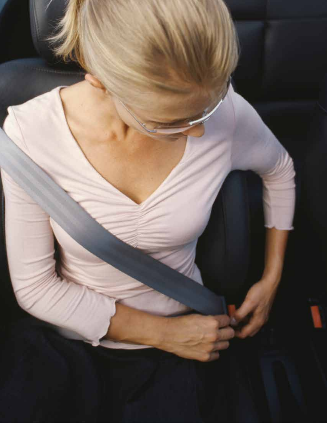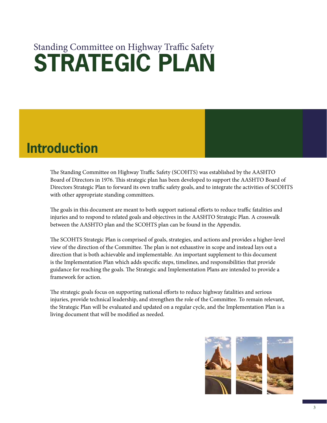### **Introduction**

The Standing Committee on Highway Traffic Safety (SCOHTS) was established by the AASHTO Board of Directors in 1976. This strategic plan has been developed to support the AASHTO Board of Directors Strategic Plan to forward its own traffic safety goals, and to integrate the activities of SCOHTS with other appropriate standing committees.

The goals in this document are meant to both support national efforts to reduce traffic fatalities and injuries and to respond to related goals and objectives in the AASHTO Strategic Plan. A crosswalk between the AASHTO plan and the SCOHTS plan can be found in the Appendix.

The SCOHTS Strategic Plan is comprised of goals, strategies, and actions and provides a higher-level view of the direction of the Committee. The plan is not exhaustive in scope and instead lays out a direction that is both achievable and implementable. An important supplement to this document is the Implementation Plan which adds specific steps, timelines, and responsibilities that provide guidance for reaching the goals. The Strategic and Implementation Plans are intended to provide a framework for action.

The strategic goals focus on supporting national efforts to reduce highway fatalities and serious injuries, provide technical leadership, and strengthen the role of the Committee. To remain relevant, the Strategic Plan will be evaluated and updated on a regular cycle, and the Implementation Plan is a living document that will be modified as needed.

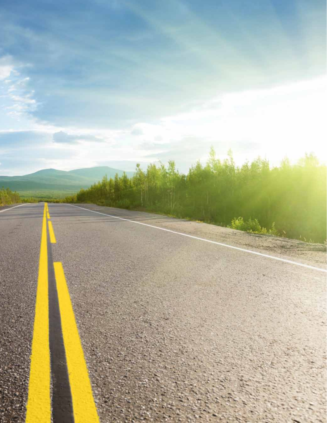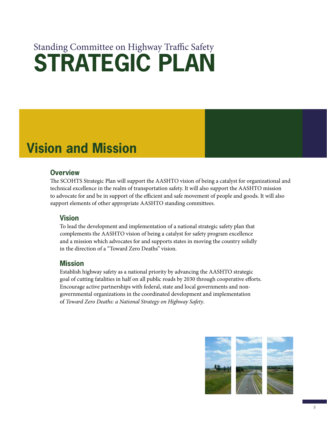## **Vision and Mission**

#### **Overview**

The SCOHTS Strategic Plan will support the AASHTO vision of being a catalyst for organizational and technical excellence in the realm of transportation safety. It will also support the AASHTO mission to advocate for and be in support of the efficient and safe movement of people and goods. It will also support elements of other appropriate AASHTO standing committees.

#### **Vision**

To lead the development and implementation of a national strategic safety plan that complements the AASHTO vision of being a catalyst for safety program excellence and a mission which advocates for and supports states in moving the country solidly in the direction of a "Toward Zero Deaths" vision.

#### **Mission**

Establish highway safety as a national priority by advancing the AASHTO strategic goal of cutting fatalities in half on all public roads by 2030 through cooperative efforts. Encourage active partnerships with federal, state and local governments and nongovernmental organizations in the coordinated development and implementation of *Toward Zero Deaths: a National Strategy on Highway Safety*.

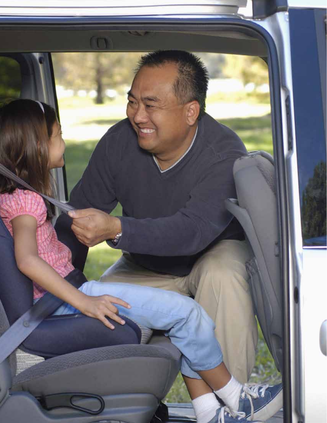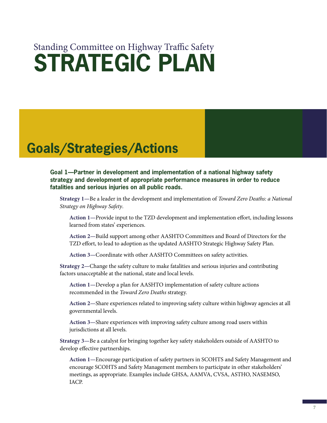### **Goals/Strategies/Actions**

**Goal 1—Partner in development and implementation of a national highway safety strategy and development of appropriate performance measures in order to reduce fatalities and serious injuries on all public roads.**

**Strategy 1—**Be a leader in the development and implementation of *Toward Zero Deaths: a National Strategy on Highway Safety*.

**Action 1—**Provide input to the TZD development and implementation effort, including lessons learned from states' experiences.

**Action 2—**Build support among other AASHTO Committees and Board of Directors for the TZD effort, to lead to adoption as the updated AASHTO Strategic Highway Safety Plan.

**Action 3—**Coordinate with other AASHTO Committees on safety activities.

**Strategy 2—**Change the safety culture to make fatalities and serious injuries and contributing factors unacceptable at the national, state and local levels.

**Action 1—**Develop a plan for AASHTO implementation of safety culture actions recommended in the *Toward Zero Deaths* strategy.

**Action 2—**Share experiences related to improving safety culture within highway agencies at all governmental levels.

**Action 3—**Share experiences with improving safety culture among road users within jurisdictions at all levels.

**Strategy 3—**Be a catalyst for bringing together key safety stakeholders outside of AASHTO to develop effective partnerships.

**Action 1—**Encourage participation of safety partners in SCOHTS and Safety Management and encourage SCOHTS and Safety Management members to participate in other stakeholders' meetings, as appropriate. Examples include GHSA, AAMVA, CVSA, ASTHO, NASEMSO, IACP.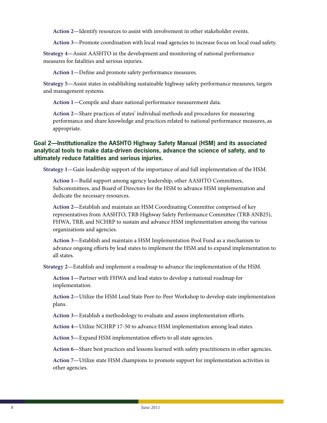**Action 2—**Identify resources to assist with involvement in other stakeholder events.

**Action 3—**Promote coordination with local road agencies to increase focus on local road safety.

**Strategy 4—**Assist AASHTO in the development and monitoring of national performance measures for fatalities and serious injuries.

**Action 1—**Define and promote safety performance measures.

**Strategy 5—**Assist states in establishing sustainable highway safety performance measures, targets and management systems.

**Action 1—**Compile and share national performance measurement data.

**Action 2—**Share practices of states' individual methods and procedures for measuring performance and share knowledge and practices related to national performance measures, as appropriate.

#### **Goal 2—Institutionalize the AASHTO Highway Safety Manual (HSM) and its associated analytical tools to make data-driven decisions, advance the science of safety, and to ultimately reduce fatalities and serious injuries.**

**Strategy 1—**Gain leadership support of the importance of and full implementation of the HSM.

**Action 1—**Build support among agency leadership, other AASHTO Committees, Subcommittees, and Board of Directors for the HSM to advance HSM implementation and dedicate the necessary resources.

**Action 2—**Establish and maintain an HSM Coordinating Committee comprised of key representatives from AASHTO, TRB Highway Safety Performance Committee (TRB ANB25), FHWA, TRB, and NCHRP to sustain and advance HSM implementation among the various organizations and agencies.

**Action 3—**Establish and maintain a HSM Implementation Pool Fund as a mechanism to advance ongoing efforts by lead states to implement the HSM and to expand implementation to all states.

**Strategy 2—**Establish and implement a roadmap to advance the implementation of the HSM.

**Action 1—**Partner with FHWA and lead states to develop a national roadmap for implementation.

**Action 2—**Utilize the HSM Lead State Peer-to-Peer Workshop to develop state implementation plans.

**Action 3—**Establish a methodology to evaluate and assess implementation efforts.

**Action 4—**Utilize NCHRP 17-50 to advance HSM implementation among lead states.

**Action 5—**Expand HSM implementation efforts to all state agencies.

**Action 6—**Share best practices and lessons learned with safety practitioners in other agencies.

**Action 7—**Utilize state HSM champions to promote support for implementation activities in other agencies.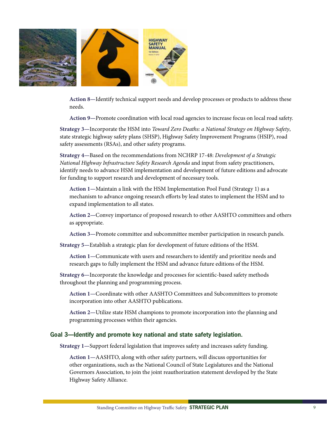

**Action 8—**Identify technical support needs and develop processes or products to address these needs.

**Action 9—**Promote coordination with local road agencies to increase focus on local road safety.

**Strategy 3—**Incorporate the HSM into *Toward Zero Deaths: a National Strategy on Highway Safety*, state strategic highway safety plans (SHSP), Highway Safety Improvement Programs (HSIP), road safety assessments (RSAs), and other safety programs.

**Strategy 4—**Based on the recommendations from NCHRP 17-48: *Development of a Strategic National Highway Infrastructure Safety Research Agenda* and input from safety practitioners, identify needs to advance HSM implementation and development of future editions and advocate for funding to support research and development of necessary tools.

**Action 1—**Maintain a link with the HSM Implementation Pool Fund (Strategy 1) as a mechanism to advance ongoing research efforts by lead states to implement the HSM and to expand implementation to all states.

**Action 2—**Convey importance of proposed research to other AASHTO committees and others as appropriate.

**Action 3—**Promote committee and subcommittee member participation in research panels.

**Strategy 5—**Establish a strategic plan for development of future editions of the HSM.

**Action 1—**Communicate with users and researchers to identify and prioritize needs and research gaps to fully implement the HSM and advance future editions of the HSM.

**Strategy 6—**Incorporate the knowledge and processes for scientific-based safety methods throughout the planning and programming process.

**Action 1—**Coordinate with other AASHTO Committees and Subcommittees to promote incorporation into other AASHTO publications.

**Action 2—**Utilize state HSM champions to promote incorporation into the planning and programming processes within their agencies.

#### **Goal 3—Identify and promote key national and state safety legislation.**

**Strategy 1—**Support federal legislation that improves safety and increases safety funding.

**Action 1—**AASHTO, along with other safety partners, will discuss opportunities for other organizations, such as the National Council of State Legislatures and the National Governors Association, to join the joint reauthorization statement developed by the State Highway Safety Alliance.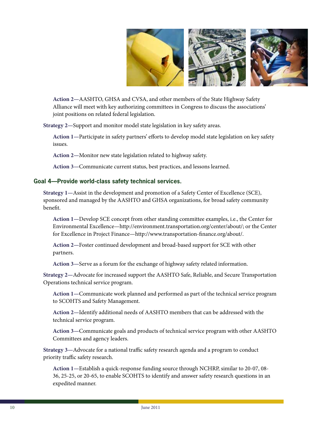

**Action 2—**AASHTO, GHSA and CVSA, and other members of the State Highway Safety Alliance will meet with key authorizing committees in Congress to discuss the associations' joint positions on related federal legislation.

**Strategy 2—**Support and monitor model state legislation in key safety areas.

**Action 1—**Participate in safety partners' efforts to develop model state legislation on key safety issues.

**Action 2—**Monitor new state legislation related to highway safety.

**Action 3—**Communicate current status, best practices, and lessons learned.

#### **Goal 4—Provide world-class safety technical services.**

**Strategy 1—**Assist in the development and promotion of a Safety Center of Excellence (SCE), sponsored and managed by the AASHTO and GHSA organizations, for broad safety community benefit.

**Action 1—**Develop SCE concept from other standing committee examples, i.e., the Center for Environmental Excellence—http://environment.transportation.org/center/about/; or the Center for Excellence in Project Finance—http://www.transportation-finance.org/about/.

**Action 2—**Foster continued development and broad-based support for SCE with other partners.

**Action 3—**Serve as a forum for the exchange of highway safety related information.

**Strategy 2—**Advocate for increased support the AASHTO Safe, Reliable, and Secure Transportation Operations technical service program.

**Action 1—**Communicate work planned and performed as part of the technical service program to SCOHTS and Safety Management.

**Action 2—**Identify additional needs of AASHTO members that can be addressed with the technical service program.

**Action 3—**Communicate goals and products of technical service program with other AASHTO Committees and agency leaders.

**Strategy 3—**Advocate for a national traffic safety research agenda and a program to conduct priority traffic safety research.

**Action 1—**Establish a quick-response funding source through NCHRP, similar to 20-07, 08- 36, 25-25, or 20-65, to enable SCOHTS to identify and answer safety research questions in an expedited manner.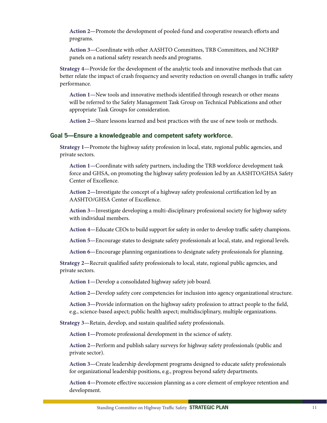**Action 2—**Promote the development of pooled-fund and cooperative research efforts and programs.

**Action 3—**Coordinate with other AASHTO Committees, TRB Committees, and NCHRP panels on a national safety research needs and programs.

**Strategy 4—**Provide for the development of the analytic tools and innovative methods that can better relate the impact of crash frequency and severity reduction on overall changes in traffic safety performance.

**Action 1—**New tools and innovative methods identified through research or other means will be referred to the Safety Management Task Group on Technical Publications and other appropriate Task Groups for consideration.

**Action 2—**Share lessons learned and best practices with the use of new tools or methods.

#### **Goal 5—Ensure a knowledgeable and competent safety workforce.**

**Strategy 1—**Promote the highway safety profession in local, state, regional public agencies, and private sectors.

**Action 1—**Coordinate with safety partners, including the TRB workforce development task force and GHSA, on promoting the highway safety profession led by an AASHTO/GHSA Safety Center of Excellence.

**Action 2—**Investigate the concept of a highway safety professional certification led by an AASHTO/GHSA Center of Excellence.

**Action 3—**Investigate developing a multi-disciplinary professional society for highway safety with individual members.

**Action 4—**Educate CEOs to build support for safety in order to develop traffic safety champions.

**Action 5—**Encourage states to designate safety professionals at local, state, and regional levels.

**Action 6—**Encourage planning organizations to designate safety professionals for planning.

**Strategy 2—**Recruit qualified safety professionals to local, state, regional public agencies, and private sectors.

**Action 1—**Develop a consolidated highway safety job board.

**Action 2—**Develop safety core competencies for inclusion into agency organizational structure.

**Action 3—**Provide information on the highway safety profession to attract people to the field, e.g., science-based aspect; public health aspect; multidisciplinary, multiple organizations.

**Strategy 3—**Retain, develop, and sustain qualified safety professionals.

**Action 1—**Promote professional development in the science of safety.

**Action 2—**Perform and publish salary surveys for highway safety professionals (public and private sector).

**Action 3—**Create leadership development programs designed to educate safety professionals for organizational leadership positions, e.g., progress beyond safety departments.

**Action 4—**Promote effective succession planning as a core element of employee retention and development.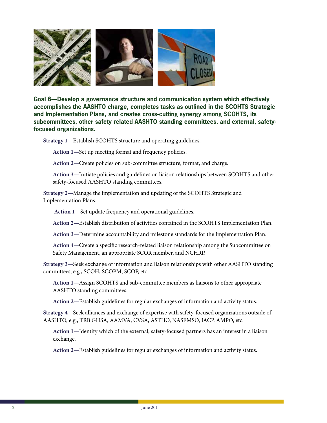

**Goal 6—Develop a governance structure and communication system which effectively accomplishes the AASHTO charge, completes tasks as outlined in the SCOHTS Strategic and Implementation Plans, and creates cross-cutting synergy among SCOHTS, its subcommittees, other safety related AASHTO standing committees, and external, safetyfocused organizations.**

**Strategy 1—**Establish SCOHTS structure and operating guidelines.

**Action 1—**Set up meeting format and frequency policies.

**Action 2—**Create policies on sub-committee structure, format, and charge.

**Action 3—**Initiate policies and guidelines on liaison relationships between SCOHTS and other safety-focused AASHTO standing committees.

**Strategy 2—**Manage the implementation and updating of the SCOHTS Strategic and Implementation Plans.

 **Action 1—**Set update frequency and operational guidelines.

**Action 2—**Establish distribution of activities contained in the SCOHTS Implementation Plan.

**Action 3—**Determine accountability and milestone standards for the Implementation Plan.

**Action 4—**Create a specific research-related liaison relationship among the Subcommittee on Safety Management, an appropriate SCOR member, and NCHRP.

**Strategy 3—**Seek exchange of information and liaison relationships with other AASHTO standing committees, e.g., SCOH, SCOPM, SCOP, etc.

**Action 1—**Assign SCOHTS and sub-committee members as liaisons to other appropriate AASHTO standing committees.

**Action 2—**Establish guidelines for regular exchanges of information and activity status.

**Strategy 4—**Seek alliances and exchange of expertise with safety-focused organizations outside of AASHTO, e.g., TRB GHSA, AAMVA, CVSA, ASTHO, NASEMSO, IACP, AMPO, etc.

**Action 1—**Identify which of the external, safety-focused partners has an interest in a liaison exchange.

**Action 2—**Establish guidelines for regular exchanges of information and activity status.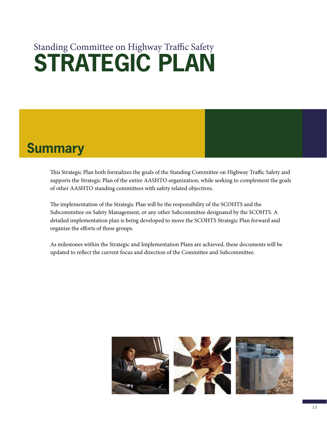### **Summary**

This Strategic Plan both formalizes the goals of the Standing Committee on Highway Traffic Safety and supports the Strategic Plan of the entire AASHTO organization, while seeking to complement the goals of other AASHTO standing committees with safety related objectives.

The implementation of the Strategic Plan will be the responsibility of the SCOHTS and the Subcommittee on Safety Management, or any other Subcommittee designated by the SCOHTS. A detailed implementation plan is being developed to move the SCOHTS Strategic Plan forward and organize the efforts of these groups.

As milestones within the Strategic and Implementation Plans are achieved, these documents will be updated to reflect the current focus and direction of the Committee and Subcommittee.

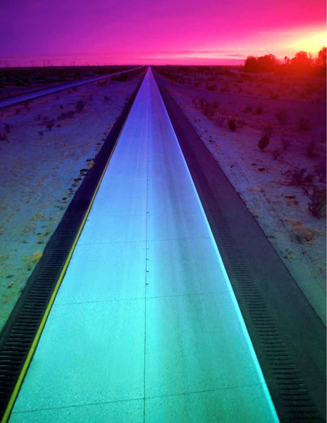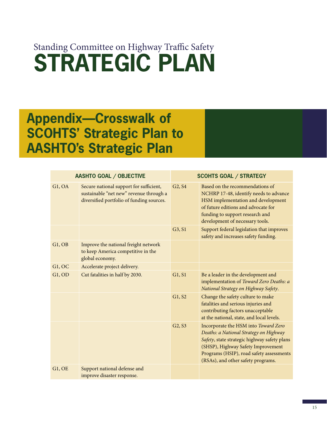### **Appendix—Crosswalk of SCOHTS' Strategic Plan to AASHTO's Strategic Plan**

|        | <b>AASHTO GOAL / OBJECTIVE</b>                                                                                                  |                                 | <b>SCOHTS GOAL / STRATEGY</b>                                                                                                                                                                                                                          |
|--------|---------------------------------------------------------------------------------------------------------------------------------|---------------------------------|--------------------------------------------------------------------------------------------------------------------------------------------------------------------------------------------------------------------------------------------------------|
| G1, OA | Secure national support for sufficient,<br>sustainable "net new" revenue through a<br>diversified portfolio of funding sources. | G <sub>2</sub> , S <sub>4</sub> | Based on the recommendations of<br>NCHRP 17-48, identify needs to advance<br>HSM implementation and development<br>of future editions and advocate for<br>funding to support research and<br>development of necessary tools.                           |
|        |                                                                                                                                 | G3, S1                          | Support federal legislation that improves<br>safety and increases safety funding.                                                                                                                                                                      |
| G1, OB | Improve the national freight network<br>to keep America competitive in the<br>global economy.                                   |                                 |                                                                                                                                                                                                                                                        |
| G1,OC  | Accelerate project delivery.                                                                                                    |                                 |                                                                                                                                                                                                                                                        |
| G1, OD | Cut fatalities in half by 2030.                                                                                                 | G1, S1                          | Be a leader in the development and<br>implementation of Toward Zero Deaths: a<br>National Strategy on Highway Safety.                                                                                                                                  |
|        |                                                                                                                                 | G1, S2                          | Change the safety culture to make<br>fatalities and serious injuries and<br>contributing factors unacceptable<br>at the national, state, and local levels.                                                                                             |
|        |                                                                                                                                 | G2, S3                          | Incorporate the HSM into Toward Zero<br>Deaths: a National Strategy on Highway<br>Safety, state strategic highway safety plans<br>(SHSP), Highway Safety Improvement<br>Programs (HSIP), road safety assessments<br>(RSAs), and other safety programs. |
| G1, OE | Support national defense and<br>improve disaster response.                                                                      |                                 |                                                                                                                                                                                                                                                        |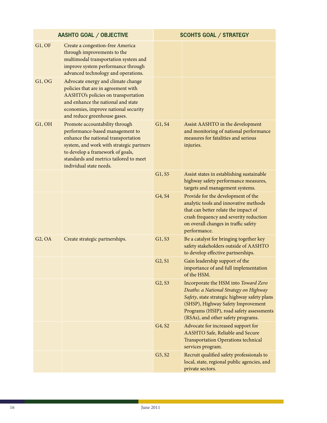| <b>AASHTO GOAL / OBJECTIVE</b>  |                                                                                                                                                                                                                                                               | <b>SCOHTS GOAL / STRATEGY</b>   |                                                                                                                                                                                                                                                        |
|---------------------------------|---------------------------------------------------------------------------------------------------------------------------------------------------------------------------------------------------------------------------------------------------------------|---------------------------------|--------------------------------------------------------------------------------------------------------------------------------------------------------------------------------------------------------------------------------------------------------|
| G1, OF                          | Create a congestion-free America<br>through improvements to the<br>multimodal transportation system and<br>improve system performance through<br>advanced technology and operations.                                                                          |                                 |                                                                                                                                                                                                                                                        |
| G1, OG                          | Advocate energy and climate change<br>policies that are in agreement with<br>AASHTO's policies on transportation<br>and enhance the national and state<br>economies, improve national security<br>and reduce greenhouse gases.                                |                                 |                                                                                                                                                                                                                                                        |
| G1, OH                          | Promote accountability through<br>performance-based management to<br>enhance the national transportation<br>system, and work with strategic partners<br>to develop a framework of goals,<br>standards and metrics tailored to meet<br>individual state needs. | G1, S4                          | Assist AASHTO in the development<br>and monitoring of national performance<br>measures for fatalities and serious<br>injuries.                                                                                                                         |
|                                 |                                                                                                                                                                                                                                                               | G1, S5                          | Assist states in establishing sustainable<br>highway safety performance measures,<br>targets and management systems.                                                                                                                                   |
|                                 |                                                                                                                                                                                                                                                               | G4, S4                          | Provide for the development of the<br>analytic tools and innovative methods<br>that can better relate the impact of<br>crash frequency and severity reduction<br>on overall changes in traffic safety<br>performance.                                  |
| G <sub>2</sub> , O <sub>A</sub> | Create strategic partnerships.                                                                                                                                                                                                                                | G1, S3                          | Be a catalyst for bringing together key<br>safety stakeholders outside of AASHTO<br>to develop effective partnerships.                                                                                                                                 |
|                                 |                                                                                                                                                                                                                                                               | G2, S1                          | Gain leadership support of the<br>importance of and full implementation<br>of the HSM.                                                                                                                                                                 |
|                                 |                                                                                                                                                                                                                                                               | G <sub>2</sub> , S <sub>3</sub> | Incorporate the HSM into Toward Zero<br>Deaths: a National Strategy on Highway<br>Safety, state strategic highway safety plans<br>(SHSP), Highway Safety Improvement<br>Programs (HSIP), road safety assessments<br>(RSAs), and other safety programs. |
|                                 |                                                                                                                                                                                                                                                               | G4, S2                          | Advocate for increased support for<br>AASHTO Safe, Reliable and Secure<br><b>Transportation Operations technical</b><br>services program.                                                                                                              |
|                                 |                                                                                                                                                                                                                                                               | G5, S2                          | Recruit qualified safety professionals to<br>local, state, regional public agencies, and<br>private sectors.                                                                                                                                           |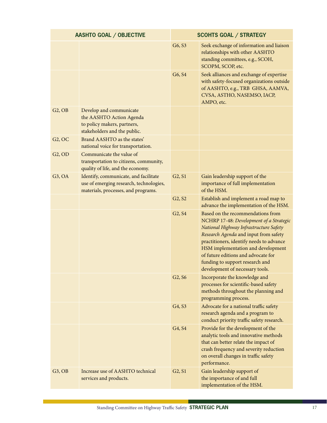| <b>AASHTO GOAL / OBJECTIVE</b> |                                                                                                                         | <b>SCOHTS GOAL / STRATEGY</b>   |                                                                                                                                                                                                                                                                                                                                                                |
|--------------------------------|-------------------------------------------------------------------------------------------------------------------------|---------------------------------|----------------------------------------------------------------------------------------------------------------------------------------------------------------------------------------------------------------------------------------------------------------------------------------------------------------------------------------------------------------|
|                                |                                                                                                                         | G6, S3                          | Seek exchange of information and liaison<br>relationships with other AASHTO<br>standing committees, e.g., SCOH,<br>SCOPM, SCOP, etc.                                                                                                                                                                                                                           |
|                                |                                                                                                                         | G6, S4                          | Seek alliances and exchange of expertise<br>with safety-focused organizations outside<br>of AASHTO, e.g., TRB GHSA, AAMVA,<br>CVSA, ASTHO, NASEMSO, IACP,<br>AMPO, etc.                                                                                                                                                                                        |
| G2, OB                         | Develop and communicate<br>the AASHTO Action Agenda<br>to policy makers, partners,<br>stakeholders and the public.      |                                 |                                                                                                                                                                                                                                                                                                                                                                |
| G2, OC                         | Brand AASHTO as the states'<br>national voice for transportation.                                                       |                                 |                                                                                                                                                                                                                                                                                                                                                                |
| G2, OD                         | Communicate the value of<br>transportation to citizens, community,<br>quality of life, and the economy.                 |                                 |                                                                                                                                                                                                                                                                                                                                                                |
| G3, OA                         | Identify, communicate, and facilitate<br>use of emerging research, technologies,<br>materials, processes, and programs. | G2, S1                          | Gain leadership support of the<br>importance of full implementation<br>of the HSM.                                                                                                                                                                                                                                                                             |
|                                |                                                                                                                         | G <sub>2</sub> , S <sub>2</sub> | Establish and implement a road map to<br>advance the implementation of the HSM.                                                                                                                                                                                                                                                                                |
|                                |                                                                                                                         | G <sub>2</sub> , S <sub>4</sub> | Based on the recommendations from<br>NCHRP 17-48: Development of a Strategic<br>National Highway Infrastructure Safety<br>Research Agenda and input from safety<br>practitioners, identify needs to advance<br>HSM implementation and development<br>of future editions and advocate for<br>funding to support research and<br>development of necessary tools. |
|                                |                                                                                                                         | G <sub>2</sub> , S <sub>6</sub> | Incorporate the knowledge and<br>processes for scientific-based safety<br>methods throughout the planning and<br>programming process.                                                                                                                                                                                                                          |
|                                |                                                                                                                         | G4, S3                          | Advocate for a national traffic safety<br>research agenda and a program to<br>conduct priority traffic safety research.                                                                                                                                                                                                                                        |
|                                |                                                                                                                         | G4, S4                          | Provide for the development of the<br>analytic tools and innovative methods<br>that can better relate the impact of<br>crash frequency and severity reduction<br>on overall changes in traffic safety<br>performance.                                                                                                                                          |
| G3, OB                         | Increase use of AASHTO technical<br>services and products.                                                              | G2, S1                          | Gain leadership support of<br>the importance of and full<br>implementation of the HSM.                                                                                                                                                                                                                                                                         |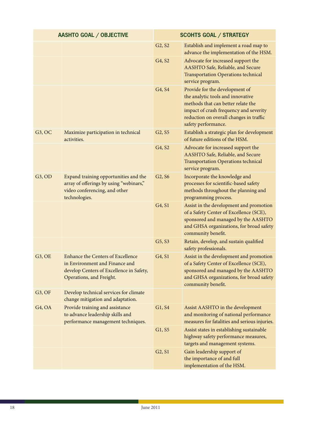| <b>AASHTO GOAL / OBJECTIVE</b>  |                                                                                                                                                    | <b>SCOHTS GOAL / STRATEGY</b>   |                                                                                                                                                                                                                       |
|---------------------------------|----------------------------------------------------------------------------------------------------------------------------------------------------|---------------------------------|-----------------------------------------------------------------------------------------------------------------------------------------------------------------------------------------------------------------------|
|                                 |                                                                                                                                                    | G <sub>2</sub> , S <sub>2</sub> | Establish and implement a road map to<br>advance the implementation of the HSM.                                                                                                                                       |
|                                 |                                                                                                                                                    | G4, S2                          | Advocate for increased support the<br>AASHTO Safe, Reliable, and Secure<br><b>Transportation Operations technical</b><br>service program.                                                                             |
|                                 |                                                                                                                                                    | G4, S4                          | Provide for the development of<br>the analytic tools and innovative<br>methods that can better relate the<br>impact of crash frequency and severity<br>reduction on overall changes in traffic<br>safety performance. |
| G3,OC                           | Maximize participation in technical<br>activities.                                                                                                 | G <sub>2</sub> , S <sub>5</sub> | Establish a strategic plan for development<br>of future editions of the HSM.                                                                                                                                          |
|                                 |                                                                                                                                                    | G4, S2                          | Advocate for increased support the<br>AASHTO Safe, Reliable, and Secure<br><b>Transportation Operations technical</b><br>service program.                                                                             |
| G3, OD                          | Expand training opportunities and the<br>array of offerings by using "webinars,"<br>video conferencing, and other<br>technologies.                 | G2, S6                          | Incorporate the knowledge and<br>processes for scientific-based safety<br>methods throughout the planning and<br>programming process.                                                                                 |
|                                 |                                                                                                                                                    | G4, S1                          | Assist in the development and promotion<br>of a Safety Center of Excellence (SCE),<br>sponsored and managed by the AASHTO<br>and GHSA organizations, for broad safety<br>community benefit.                           |
|                                 |                                                                                                                                                    | G5, S3                          | Retain, develop, and sustain qualified<br>safety professionals.                                                                                                                                                       |
| G3,OE                           | <b>Enhance the Centers of Excellence</b><br>in Environment and Finance and<br>develop Centers of Excellence in Safety,<br>Operations, and Freight. | G <sub>4</sub> , S <sub>1</sub> | Assist in the development and promotion<br>of a Safety Center of Excellence (SCE),<br>sponsored and managed by the AASHTO<br>and GHSA organizations, for broad safety<br>community benefit.                           |
| G3, OF                          | Develop technical services for climate<br>change mitigation and adaptation.                                                                        |                                 |                                                                                                                                                                                                                       |
| G <sub>4</sub> , O <sub>A</sub> | Provide training and assistance<br>to advance leadership skills and<br>performance management techniques.                                          | G1, S4                          | Assist AASHTO in the development<br>and monitoring of national performance<br>measures for fatalities and serious injuries.                                                                                           |
|                                 |                                                                                                                                                    | G1, S5                          | Assist states in establishing sustainable<br>highway safety performance measures,<br>targets and management systems.                                                                                                  |
|                                 |                                                                                                                                                    | G2, S1                          | Gain leadership support of<br>the importance of and full<br>implementation of the HSM.                                                                                                                                |

ī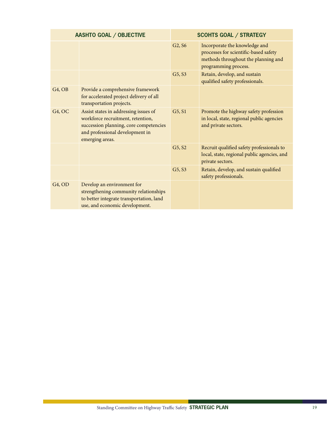| <b>AASHTO GOAL / OBJECTIVE</b>  |                                                                                                                                                                            | <b>SCOHTS GOAL / STRATEGY</b>   |                                                                                                                                       |
|---------------------------------|----------------------------------------------------------------------------------------------------------------------------------------------------------------------------|---------------------------------|---------------------------------------------------------------------------------------------------------------------------------------|
|                                 |                                                                                                                                                                            | G <sub>2</sub> , S <sub>6</sub> | Incorporate the knowledge and<br>processes for scientific-based safety<br>methods throughout the planning and<br>programming process. |
|                                 |                                                                                                                                                                            | G5, S3                          | Retain, develop, and sustain<br>qualified safety professionals.                                                                       |
| G <sub>4</sub> , O <sub>B</sub> | Provide a comprehensive framework<br>for accelerated project delivery of all<br>transportation projects.                                                                   |                                 |                                                                                                                                       |
| G4, OC                          | Assist states in addressing issues of<br>workforce recruitment, retention,<br>succession planning, core competencies<br>and professional development in<br>emerging areas. | G5, S1                          | Promote the highway safety profession<br>in local, state, regional public agencies<br>and private sectors.                            |
|                                 |                                                                                                                                                                            | G <sub>5</sub> , S <sub>2</sub> | Recruit qualified safety professionals to<br>local, state, regional public agencies, and<br>private sectors.                          |
|                                 |                                                                                                                                                                            | G5, S3                          | Retain, develop, and sustain qualified<br>safety professionals.                                                                       |
| G <sub>4</sub> , O <sub>D</sub> | Develop an environment for<br>strengthening community relationships<br>to better integrate transportation, land<br>use, and economic development.                          |                                 |                                                                                                                                       |